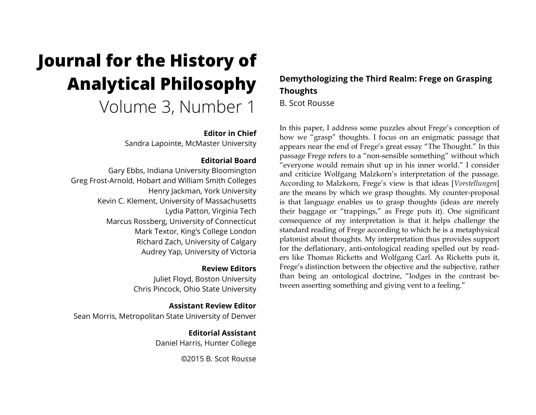# **Journal for the History of Analytical Philosophy** Volume 3, Number 1

## **Editor in Chief**

Sandra Lapointe, McMaster University

# **Editorial Board**

Gary Ebbs, Indiana University Bloomington Greg Frost-Arnold, Hobart and William Smith Colleges Henry Jackman, York University Kevin C. Klement, University of Massachusetts Lydia Patton, Virginia Tech Marcus Rossberg, University of Connecticut Mark Textor, King's College London Richard Zach, University of Calgary Audrey Yap, University of Victoria

### **Review Editors**

Juliet Floyd, Boston University Chris Pincock, Ohio State University

**Assistant Review Editor** Sean Morris, Metropolitan State University of Denver

> **Editorial Assistant** Daniel Harris, Hunter College

> > ©2015 B. Scot Rousse

# **Demythologizing the Third Realm: Frege on Grasping Thoughts**

B. Scot Rousse

In this paper, I address some puzzles about Frege's conception of how we "grasp" thoughts. I focus on an enigmatic passage that appears near the end of Frege's great essay "The Thought." In this passage Frege refers to a "non-sensible something" without which "everyone would remain shut up in his inner world." I consider and criticize Wolfgang Malzkorn's interpretation of the passage. According to Malzkorn, Frege's view is that ideas [*Vorstellungen*] are the means by which we grasp thoughts. My counter-proposal is that language enables us to grasp thoughts (ideas are merely their baggage or "trappings," as Frege puts it). One significant consequence of my interpretation is that it helps challenge the standard reading of Frege according to which he is a metaphysical platonist about thoughts. My interpretation thus provides support for the deflationary, anti-ontological reading spelled out by readers like Thomas Ricketts and Wolfgang Carl. As Ricketts puts it, Frege's distinction between the objective and the subjective, rather than being an ontological doctrine, "lodges in the contrast between asserting something and giving vent to a feeling."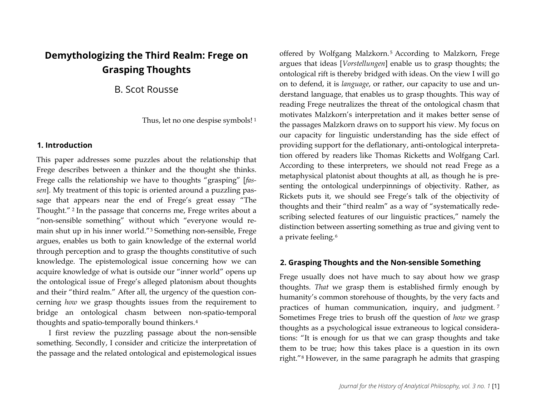# **Demythologizing the Third Realm: Frege on Grasping Thoughts**

B. Scot Rousse

Thus, let no one despise symbols! [1](#page-12-0)

# **1. Introduction**

This paper addresses some puzzles about the relationship that Frege describes between a thinker and the thought she thinks. Frege calls the relationship we have to thoughts "grasping" [*fassen*]. My treatment of this topic is oriented around a puzzling passage that appears near the end of Frege's great essay "The Thought." [2](#page-12-1) In the passage that concerns me, Frege writes about a "non-sensible something" without which "everyone would remain shut up in his inner world."[3](#page-12-2) Something non-sensible, Frege argues, enables us both to gain knowledge of the external world through perception and to grasp the thoughts constitutive of such knowledge. The epistemological issue concerning how we can acquire knowledge of what is outside our "inner world" opens up the ontological issue of Frege's alleged platonism about thoughts and their "third realm." After all, the urgency of the question concerning *how* we grasp thoughts issues from the requirement to bridge an ontological chasm between non-spatio-temporal thoughts and spatio-temporally bound thinkers.[4](#page-12-3)

I first review the puzzling passage about the non-sensible something. Secondly, I consider and criticize the interpretation of the passage and the related ontological and epistemological issues offered by Wolfgang Malzkorn. [5](#page-13-0) According to Malzkorn, Frege argues that ideas [*Vorstellungen*] enable us to grasp thoughts; the ontological rift is thereby bridged with ideas. On the view I will go on to defend, it is *language*, or rather, our capacity to use and understand language, that enables us to grasp thoughts. This way of reading Frege neutralizes the threat of the ontological chasm that motivates Malzkorn's interpretation and it makes better sense of the passages Malzkorn draws on to support his view. My focus on our capacity for linguistic understanding has the side effect of providing support for the deflationary, anti-ontological interpretation offered by readers like Thomas Ricketts and Wolfgang Carl. According to these interpreters, we should not read Frege as a metaphysical platonist about thoughts at all, as though he is presenting the ontological underpinnings of objectivity. Rather, as Rickets puts it, we should see Frege's talk of the objectivity of thoughts and their "third realm" as a way of "systematically redescribing selected features of our linguistic practices," namely the distinction between asserting something as true and giving vent to a private feeling.<sup>[6](#page-13-1)</sup>

# **2. Grasping Thoughts and the Non-sensible Something**

Frege usually does not have much to say about how we grasp thoughts. *That* we grasp them is established firmly enough by humanity's common storehouse of thoughts, by the very facts and practices of human communication, inquiry, and judgment. [7](#page-13-2) Sometimes Frege tries to brush off the question of *how* we grasp thoughts as a psychological issue extraneous to logical considerations: "It is enough for us that we can grasp thoughts and take them to be true; how this takes place is a question in its own right."[8](#page-13-3) However, in the same paragraph he admits that grasping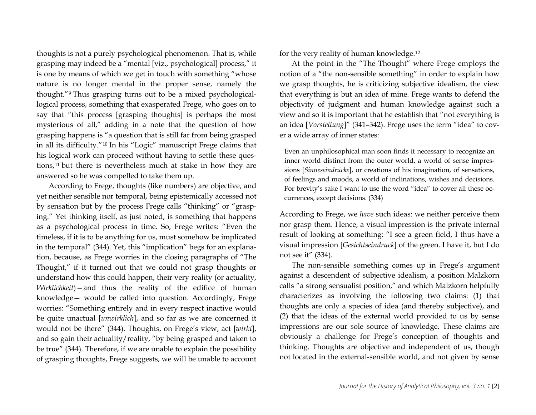thoughts is not a purely psychological phenomenon. That is, while grasping may indeed be a "mental [viz., psychological] process," it is one by means of which we get in touch with something "whose nature is no longer mental in the proper sense, namely the thought."[9](#page-14-0) Thus grasping turns out to be a mixed psychologicallogical process, something that exasperated Frege, who goes on to say that "this process [grasping thoughts] is perhaps the most mysterious of all," adding in a note that the question of how grasping happens is "a question that is still far from being grasped in all its difficulty."[10](#page-14-1) In his "Logic" manuscript Frege claims that his logical work can proceed without having to settle these questions,[11](#page-14-2) but there is nevertheless much at stake in how they are answered so he was compelled to take them up.

According to Frege, thoughts (like numbers) are objective, and yet neither sensible nor temporal, being epistemically accessed not by sensation but by the process Frege calls "thinking" or "grasping." Yet thinking itself, as just noted, is something that happens as a psychological process in time. So, Frege writes: "Even the timeless, if it is to be anything for us, must somehow be implicated in the temporal" (344). Yet, this "implication" begs for an explanation, because, as Frege worries in the closing paragraphs of "The Thought," if it turned out that we could not grasp thoughts or understand how this could happen, their very reality (or actuality, *Wirklichkeit*)*—*and thus the reality of the edifice of human knowledge— would be called into question. Accordingly, Frege worries: "Something entirely and in every respect inactive would be quite unactual [*unwirklich*], and so far as we are concerned it would not be there" (344). Thoughts, on Frege's view, act [*wirkt*], and so gain their actuality/reality, "by being grasped and taken to be true" (344). Therefore, if we are unable to explain the possibility of grasping thoughts, Frege suggests, we will be unable to account for the very reality of human knowledge.[12](#page-15-0)

At the point in the "The Thought" where Frege employs the notion of a "the non-sensible something" in order to explain how we grasp thoughts, he is criticizing subjective idealism, the view that everything is but an idea of mine. Frege wants to defend the objectivity of judgment and human knowledge against such a view and so it is important that he establish that "not everything is an idea [*Vorstellung*]" (341–342). Frege uses the term "idea" to cover a wide array of inner states:

Even an unphilosophical man soon finds it necessary to recognize an inner world distinct from the outer world, a world of sense impressions [*Sinneseindrücke*], or creations of his imagination, of sensations, of feelings and moods, a world of inclinations, wishes and decisions. For brevity's sake I want to use the word "idea" to cover all these occurrences, except decisions. (334)

According to Frege, we *have* such ideas: we neither perceive them nor grasp them. Hence, a visual impression is the private internal result of looking at something: "I see a green field, I thus have a visual impression [*Gesichtseindruck*] of the green. I have it, but I do not see it" (334).

The non-sensible something comes up in Frege's argument against a descendent of subjective idealism, a position Malzkorn calls "a strong sensualist position," and which Malzkorn helpfully characterizes as involving the following two claims: (1) that thoughts are only a species of idea (and thereby subjective), and (2) that the ideas of the external world provided to us by sense impressions are our sole source of knowledge. These claims are obviously a challenge for Frege's conception of thoughts and thinking. Thoughts are objective and independent of us, though not located in the external-sensible world, and not given by sense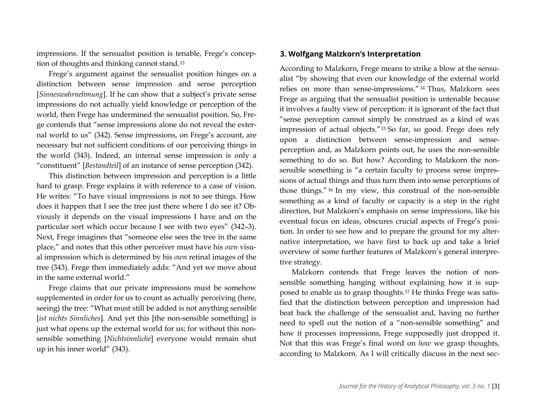impressions. If the sensualist position is tenable, Frege's conception of thoughts and thinking cannot stand.[13](#page-15-1)

Frege's argument against the sensualist position hinges on a distinction between sense impression and sense perception [*Sinneswahrnehmung*]. If he can show that a subject's private sense impressions do not actually yield knowledge or perception of the world, then Frege has undermined the sensualist position. So, Frege contends that "sense impressions alone do not reveal the external world to us" (342). Sense impressions, on Frege's account, are necessary but not sufficient conditions of our perceiving things in the world (343). Indeed, an internal sense impression is only a "constituent" [*Bestandteil*] of an instance of sense perception (342).

This distinction between impression and perception is a little hard to grasp. Frege explains it with reference to a case of vision. He writes: "To have visual impressions is not to see things. How does it happen that I see the tree just there where I do see it? Obviously it depends on the visual impressions I have and on the particular sort which occur because I see with two eyes" (342–3). Next, Frege imagines that "someone else sees the tree in the same place," and notes that this other perceiver must have his *own* visual impression which is determined by his *own* retinal images of the tree (343). Frege then immediately adds: "And yet we move about in the same external world."

Frege claims that our private impressions must be somehow supplemented in order for us to count as actually perceiving (here, seeing) the tree: "What must still be added is not anything sensible [*ist nichts Sinnliches*]. And yet this [the non-sensible something] is just what opens up the external world for us; for without this nonsensible something [*Nichtsinnliche*] everyone would remain shut up in his inner world" (343).

# **3. Wolfgang Malzkorn's Interpretation**

According to Malzkorn, Frege means to strike a blow at the sensualist "by showing that even our knowledge of the external world relies on more than sense-impressions." [14](#page-15-2) Thus, Malzkorn sees Frege as arguing that the sensualist position is untenable because it involves a faulty view of perception: it is ignorant of the fact that "sense perception cannot simply be construed as a kind of wax impression of actual objects."[15](#page-15-3) So far, so good. Frege does rely upon a distinction between sense-impression and senseperception and, as Malzkorn points out, he uses the non-sensible something to do so. But how? According to Malzkorn the nonsensible something is "a certain faculty to process sense impressions of actual things and thus turn them into sense perceptions of those things." [16](#page-15-4) In my view, this construal of the non-sensible something as a kind of faculty or capacity is a step in the right direction, but Malzkorn's emphasis on sense impressions, like his eventual focus on ideas, obscures crucial aspects of Frege's position. In order to see how and to prepare the ground for my alternative interpretation, we have first to back up and take a brief overview of some further features of Malzkorn's general interpretive strategy.

Malzkorn contends that Frege leaves the notion of nonsensible something hanging without explaining how it is supposed to enable us to grasp thoughts[.17](#page-15-5) He thinks Frege was satisfied that the distinction between perception and impression had beat back the challenge of the sensualist and, having no further need to spell out the notion of a "non-sensible something" and how it processes impressions, Frege supposedly just dropped it. Not that this was Frege's final word on *how* we grasp thoughts, according to Malzkorn. As I will critically discuss in the next sec-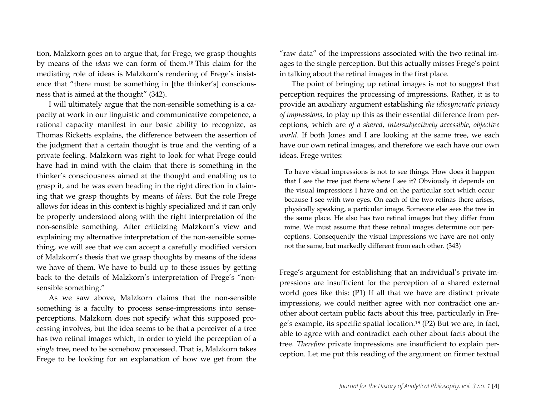tion, Malzkorn goes on to argue that, for Frege, we grasp thoughts by means of the *ideas* we can form of them.[18](#page-16-0) This claim for the mediating role of ideas is Malzkorn's rendering of Frege's insistence that "there must be something in [the thinker's] consciousness that is aimed at the thought" (342).

I will ultimately argue that the non-sensible something is a capacity at work in our linguistic and communicative competence, a rational capacity manifest in our basic ability to recognize, as Thomas Ricketts explains, the difference between the assertion of the judgment that a certain thought is true and the venting of a private feeling. Malzkorn was right to look for what Frege could have had in mind with the claim that there is something in the thinker's consciousness aimed at the thought and enabling us to grasp it, and he was even heading in the right direction in claiming that we grasp thoughts by means of *ideas*. But the role Frege allows for ideas in this context is highly specialized and it can only be properly understood along with the right interpretation of the non-sensible something. After criticizing Malzkorn's view and explaining my alternative interpretation of the non-sensible something, we will see that we can accept a carefully modified version of Malzkorn's thesis that we grasp thoughts by means of the ideas we have of them. We have to build up to these issues by getting back to the details of Malzkorn's interpretation of Frege's "nonsensible something."

As we saw above, Malzkorn claims that the non-sensible something is a faculty to process sense-impressions into senseperceptions. Malzkorn does not specify what this supposed processing involves, but the idea seems to be that a perceiver of a tree has two retinal images which, in order to yield the perception of a *single* tree, need to be somehow processed. That is, Malzkorn takes Frege to be looking for an explanation of how we get from the

"raw data" of the impressions associated with the two retinal images to the single perception. But this actually misses Frege's point in talking about the retinal images in the first place.

The point of bringing up retinal images is not to suggest that perception requires the processing of impressions. Rather, it is to provide an auxiliary argument establishing *the idiosyncratic privacy of impressions*, to play up this as their essential difference from perceptions, which are *of a shared*, *intersubjectively accessible*, *objective world*. If both Jones and I are looking at the same tree, we each have our own retinal images, and therefore we each have our own ideas. Frege writes:

To have visual impressions is not to see things. How does it happen that I see the tree just there where I see it? Obviously it depends on the visual impressions I have and on the particular sort which occur because I see with two eyes. On each of the two retinas there arises, physically speaking, a particular image. Someone else sees the tree in the same place. He also has two retinal images but they differ from mine. We must assume that these retinal images determine our perceptions. Consequently the visual impressions we have are not only not the same, but markedly different from each other. (343)

Frege's argument for establishing that an individual's private impressions are insufficient for the perception of a shared external world goes like this: (P1) If all that we have are distinct private impressions, we could neither agree with nor contradict one another about certain public facts about this tree, particularly in Frege's example, its specific spatial location.[19](#page-16-1) (P2) But we are, in fact, able to agree with and contradict each other about facts about the tree. *Therefore* private impressions are insufficient to explain perception. Let me put this reading of the argument on firmer textual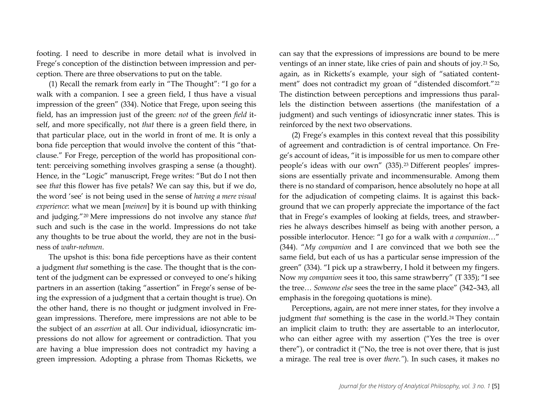footing. I need to describe in more detail what is involved in Frege's conception of the distinction between impression and perception. There are three observations to put on the table.

(1) Recall the remark from early in "The Thought": "I go for a walk with a companion. I see a green field, I thus have a visual impression of the green" (334). Notice that Frege, upon seeing this field, has an impression just of the green: *not* of the green *field* itself, and more specifically, not *that* there is a green field there, in that particular place, out in the world in front of me. It is only a bona fide perception that would involve the content of this "thatclause." For Frege, perception of the world has propositional content: perceiving something involves grasping a sense (a thought). Hence, in the "Logic" manuscript, Frege writes: "But do I not then see *that* this flower has five petals? We can say this, but if we do, the word 'see' is not being used in the sense of *having a mere visual experience*: what we mean [*meinen*] by it is bound up with thinking and judging."[20](#page-16-2) Mere impressions do not involve any stance *that* such and such is the case in the world. Impressions do not take any thoughts to be true about the world, they are not in the business of *wahr-nehmen*.

The upshot is this: bona fide perceptions have as their content a judgment *that* something is the case. The thought that is the content of the judgment can be expressed or conveyed to one's hiking partners in an assertion (taking "assertion" in Frege's sense of being the expression of a judgment that a certain thought is true). On the other hand, there is no thought or judgment involved in Fregean impressions. Therefore, mere impressions are not able to be the subject of an *assertion* at all. Our individual, idiosyncratic impressions do not allow for agreement or contradiction. That you are having a blue impression does not contradict my having a green impression. Adopting a phrase from Thomas Ricketts, we can say that the expressions of impressions are bound to be mere ventings of an inner state, like cries of pain and shouts of joy.[21](#page-16-3) So, again, as in Ricketts's example, your sigh of "satiated contentment" does not contradict my groan of "distended discomfort."[22](#page-16-4) The distinction between perceptions and impressions thus parallels the distinction between assertions (the manifestation of a judgment) and such ventings of idiosyncratic inner states. This is reinforced by the next two observations.

(2) Frege's examples in this context reveal that this possibility of agreement and contradiction is of central importance. On Frege's account of ideas, "it is impossible for us men to compare other people's ideas with our own" (335).[23](#page-16-5) Different peoples' impressions are essentially private and incommensurable. Among them there is no standard of comparison, hence absolutely no hope at all for the adjudication of competing claims. It is against this background that we can properly appreciate the importance of the fact that in Frege's examples of looking at fields, trees, and strawberries he always describes himself as being with another person, a possible interlocutor. Hence: "I go for a walk with *a companion*…" (344). "*My companion* and I are convinced that we both see the same field, but each of us has a particular sense impression of the green" (334). "I pick up a strawberry, I hold it between my fingers. Now *my companion* sees it too, this same strawberry" (T 335); "I see the tree… *Someone else* sees the tree in the same place" (342–343, all emphasis in the foregoing quotations is mine).

Perceptions, again, are not mere inner states, for they involve a judgment *that* something is the case in the world.<sup>[24](#page-16-1)</sup> They contain an implicit claim to truth: they are assertable to an interlocutor, who can either agree with my assertion ("Yes the tree is over there"), or contradict it ("No, the tree is not over there, that is just a mirage. The real tree is over *there."*). In such cases, it makes no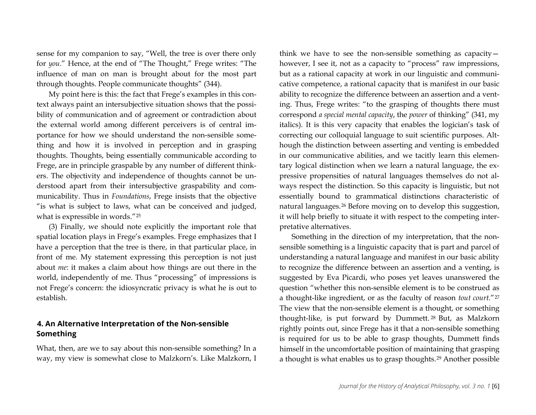sense for my companion to say, "Well, the tree is over there only for *you*." Hence, at the end of "The Thought," Frege writes: "The influence of man on man is brought about for the most part through thoughts. People communicate thoughts" (344).

My point here is this: the fact that Frege's examples in this context always paint an intersubjective situation shows that the possibility of communication and of agreement or contradiction about the external world among different perceivers is of central importance for how we should understand the non-sensible something and how it is involved in perception and in grasping thoughts. Thoughts, being essentially communicable according to Frege, are in principle graspable by any number of different thinkers. The objectivity and independence of thoughts cannot be understood apart from their intersubjective graspability and communicability. Thus in *Foundations*, Frege insists that the objective "is what is subject to laws, what can be conceived and judged, what is expressible in words."[25](#page-16-6)

(3) Finally, we should note explicitly the important role that spatial location plays in Frege's examples. Frege emphasizes that I have a perception that the tree is there, in that particular place, in front of me. My statement expressing this perception is not just about *me*: it makes a claim about how things are out there in the world, independently of me. Thus "processing" of impressions is not Frege's concern: the idiosyncratic privacy is what he is out to establish.

# **4. An Alternative Interpretation of the Non-sensible Something**

What, then, are we to say about this non-sensible something? In a way, my view is somewhat close to Malzkorn's. Like Malzkorn, I think we have to see the non-sensible something as capacity however, I see it, not as a capacity to "process" raw impressions, but as a rational capacity at work in our linguistic and communicative competence, a rational capacity that is manifest in our basic ability to recognize the difference between an assertion and a venting. Thus, Frege writes: "to the grasping of thoughts there must correspond *a special mental capacity*, the *power* of thinking" (341, my italics). It is this very capacity that enables the logician's task of correcting our colloquial language to suit scientific purposes. Although the distinction between asserting and venting is embedded in our communicative abilities, and we tacitly learn this elementary logical distinction when we learn a natural language, the expressive propensities of natural languages themselves do not always respect the distinction. So this capacity is linguistic, but not essentially bound to grammatical distinctions characteristic of natural languages.[26](#page-16-7) Before moving on to develop this suggestion, it will help briefly to situate it with respect to the competing interpretative alternatives.

Something in the direction of my interpretation, that the nonsensible something is a linguistic capacity that is part and parcel of understanding a natural language and manifest in our basic ability to recognize the difference between an assertion and a venting, is suggested by Eva Picardi, who poses yet leaves unanswered the question "whether this non-sensible element is to be construed as a thought-like ingredient, or as the faculty of reason *tout court*."[27](#page-16-8) The view that the non-sensible element is a thought, or something thought-like, is put forward by Dummett. [28](#page-16-9) But, as Malzkorn rightly points out, since Frege has it that a non-sensible something is required for us to be able to grasp thoughts, Dummett finds himself in the uncomfortable position of maintaining that grasping a thought is what enables us to grasp thoughts.[29](#page-16-10) Another possible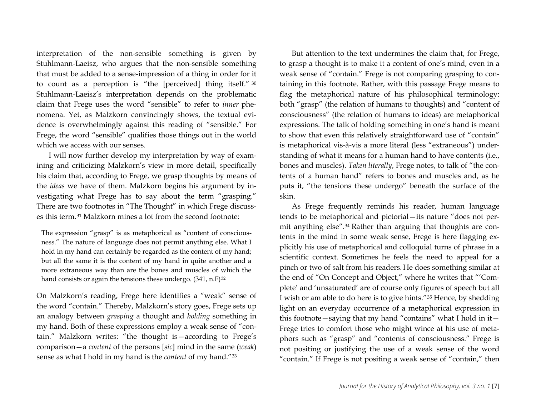interpretation of the non-sensible something is given by Stuhlmann-Laeisz, who argues that the non-sensible something that must be added to a sense-impression of a thing in order for it to count as a perception is "the [perceived] thing itself." [30](#page-16-0) Stuhlmann-Laeisz's interpretation depends on the problematic claim that Frege uses the word "sensible" to refer to *inner* phenomena. Yet, as Malzkorn convincingly shows, the textual evidence is overwhelmingly against this reading of "sensible." For Frege, the word "sensible" qualifies those things out in the world which we access with our senses.

I will now further develop my interpretation by way of examining and criticizing Malzkorn's view in more detail, specifically his claim that, according to Frege, we grasp thoughts by means of the *ideas* we have of them. Malzkorn begins his argument by investigating what Frege has to say about the term "grasping." There are two footnotes in "The Thought" in which Frege discusses this term.[31](#page-16-11) Malzkorn mines a lot from the second footnote:

The expression "grasp" is as metaphorical as "content of consciousness." The nature of language does not permit anything else. What I hold in my hand can certainly be regarded as the content of my hand; but all the same it is the content of my hand in quite another and a more extraneous way than are the bones and muscles of which the hand consists or again the tensions these undergo.  $(341, n.F)^{32}$  $(341, n.F)^{32}$  $(341, n.F)^{32}$ 

On Malzkorn's reading, Frege here identifies a "weak" sense of the word "contain." Thereby, Malzkorn's story goes, Frege sets up an analogy between *grasping* a thought and *holding* something in my hand. Both of these expressions employ a weak sense of "contain." Malzkorn writes: "the thought is—according to Frege's comparison—a *content* of the persons [*sic*] mind in the same (*weak*) sense as what I hold in my hand is the *content* of my hand."[33](#page-16-6)

But attention to the text undermines the claim that, for Frege, to grasp a thought is to make it a content of one's mind, even in a weak sense of "contain." Frege is not comparing grasping to containing in this footnote. Rather, with this passage Frege means to flag the metaphorical nature of his philosophical terminology: both "grasp" (the relation of humans to thoughts) and "content of consciousness" (the relation of humans to ideas) are metaphorical expressions. The talk of holding something in one's hand is meant to show that even this relatively straightforward use of "contain" is metaphorical vis-à-vis a more literal (less "extraneous") understanding of what it means for a human hand to have contents (i.e., bones and muscles). *Taken literally*, Frege notes, to talk of "the contents of a human hand" refers to bones and muscles and, as he puts it, "the tensions these undergo" beneath the surface of the skin.

As Frege frequently reminds his reader, human language tends to be metaphorical and pictorial—its nature "does not permit anything else".[34](#page-16-7) Rather than arguing that thoughts are contents in the mind in some weak sense, Frege is here flagging explicitly his use of metaphorical and colloquial turns of phrase in a scientific context. Sometimes he feels the need to appeal for a pinch or two of salt from his readers. He does something similar at the end of "On Concept and Object," where he writes that "'Complete' and 'unsaturated' are of course only figures of speech but all I wish or am able to do here is to give hints."[35](#page-16-8) Hence, by shedding light on an everyday occurrence of a metaphorical expression in this footnote—saying that my hand "contains" what I hold in it— Frege tries to comfort those who might wince at his use of metaphors such as "grasp" and "contents of consciousness." Frege is not positing or justifying the use of a weak sense of the word "contain." If Frege is not positing a weak sense of "contain," then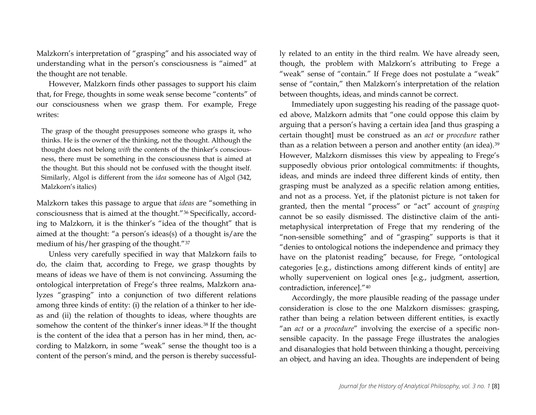Malzkorn's interpretation of "grasping" and his associated way of understanding what in the person's consciousness is "aimed" at the thought are not tenable.

However, Malzkorn finds other passages to support his claim that, for Frege, thoughts in some weak sense become "contents" of our consciousness when we grasp them. For example, Frege writes:

The grasp of the thought presupposes someone who grasps it, who thinks. He is the owner of the thinking, not the thought. Although the thought does not belong *with* the contents of the thinker's consciousness, there must be something in the consciousness that is aimed at the thought. But this should not be confused with the thought itself. Similarly, Algol is different from the *idea* someone has of Algol (342, Malzkorn's italics)

Malzkorn takes this passage to argue that *ideas* are "something in consciousness that is aimed at the thought."[36](#page-16-12) Specifically, according to Malzkorn, it is the thinker's "idea of the thought" that is aimed at the thought: "a person's ideas(s) of a thought is/are the medium of his/her grasping of the thought."[37](#page-16-13)

Unless very carefully specified in way that Malzkorn fails to do, the claim that, according to Frege, we grasp thoughts by means of ideas we have of them is not convincing. Assuming the ontological interpretation of Frege's three realms, Malzkorn analyzes "grasping" into a conjunction of two different relations among three kinds of entity: (i) the relation of a thinker to her ideas and (ii) the relation of thoughts to ideas, where thoughts are somehow the content of the thinker's inner ideas.<sup>[38](#page-16-14)</sup> If the thought is the content of the idea that a person has in her mind, then, according to Malzkorn, in some "weak" sense the thought too is a content of the person's mind, and the person is thereby successfully related to an entity in the third realm. We have already seen, though, the problem with Malzkorn's attributing to Frege a "weak" sense of "contain." If Frege does not postulate a "weak" sense of "contain," then Malzkorn's interpretation of the relation between thoughts, ideas, and minds cannot be correct.

Immediately upon suggesting his reading of the passage quoted above, Malzkorn admits that "one could oppose this claim by arguing that a person's having a certain idea [and thus grasping a certain thought] must be construed as an *act* or *procedure* rather than as a relation between a person and another entity (an idea).<sup>[39](#page-16-15)</sup> However, Malzkorn dismisses this view by appealing to Frege's supposedly obvious prior ontological commitments: if thoughts, ideas, and minds are indeed three different kinds of entity, then grasping must be analyzed as a specific relation among entities, and not as a process. Yet, if the platonist picture is not taken for granted, then the mental "process" or "act" account of *grasping* cannot be so easily dismissed. The distinctive claim of the antimetaphysical interpretation of Frege that my rendering of the "non-sensible something" and of "grasping" supports is that it "denies to ontological notions the independence and primacy they have on the platonist reading" because, for Frege, "ontological categories [e.g., distinctions among different kinds of entity] are wholly supervenient on logical ones [e.g., judgment, assertion, contradiction, inference].["40](#page-16-16)

Accordingly, the more plausible reading of the passage under consideration is close to the one Malzkorn dismisses: grasping, rather than being a relation between different entities, is exactly "an *act* or a *procedure*" involving the exercise of a specific nonsensible capacity. In the passage Frege illustrates the analogies and disanalogies that hold between thinking a thought, perceiving an object, and having an idea. Thoughts are independent of being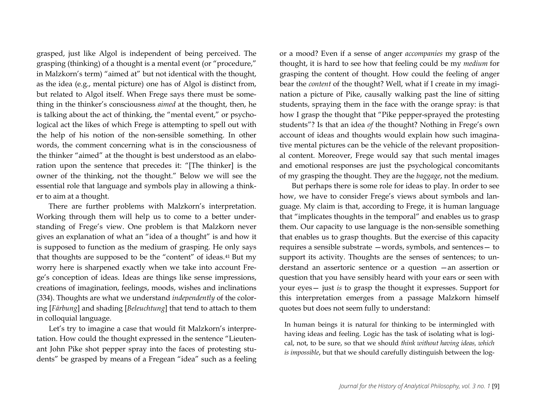grasped, just like Algol is independent of being perceived. The grasping (thinking) of a thought is a mental event (or "procedure," in Malzkorn's term) "aimed at" but not identical with the thought, as the idea (e.g., mental picture) one has of Algol is distinct from, but related to Algol itself. When Frege says there must be something in the thinker's consciousness *aimed* at the thought, then, he is talking about the act of thinking, the "mental event," or psychological act the likes of which Frege is attempting to spell out with the help of his notion of the non-sensible something. In other words, the comment concerning what is in the consciousness of the thinker "aimed" at the thought is best understood as an elaboration upon the sentence that precedes it: "[The thinker] is the owner of the thinking, not the thought." Below we will see the essential role that language and symbols play in allowing a thinker to aim at a thought.

There are further problems with Malzkorn's interpretation. Working through them will help us to come to a better understanding of Frege's view. One problem is that Malzkorn never gives an explanation of what an "idea of a thought" is and how it is supposed to function as the medium of grasping. He only says that thoughts are supposed to be the "content" of ideas.[41](#page-16-17) But my worry here is sharpened exactly when we take into account Frege's conception of ideas. Ideas are things like sense impressions, creations of imagination, feelings, moods, wishes and inclinations (334). Thoughts are what we understand *independently* of the coloring [*Färbung*] and shading [*Beleuchtung*] that tend to attach to them in colloquial language.

Let's try to imagine a case that would fit Malzkorn's interpretation. How could the thought expressed in the sentence "Lieutenant John Pike shot pepper spray into the faces of protesting students" be grasped by means of a Fregean "idea" such as a feeling or a mood? Even if a sense of anger *accompanies* my grasp of the thought, it is hard to see how that feeling could be my *medium* for grasping the content of thought. How could the feeling of anger bear the *content* of the thought? Well, what if I create in my imagination a picture of Pike, causally walking past the line of sitting students, spraying them in the face with the orange spray: is that how I grasp the thought that "Pike pepper-sprayed the protesting students"? Is that an idea *of* the thought? Nothing in Frege's own account of ideas and thoughts would explain how such imaginative mental pictures can be the vehicle of the relevant propositional content. Moreover, Frege would say that such mental images and emotional responses are just the psychological concomitants of my grasping the thought. They are the *baggage*, not the medium.

But perhaps there is some role for ideas to play. In order to see how, we have to consider Frege's views about symbols and language. My claim is that, according to Frege, it is human language that "implicates thoughts in the temporal" and enables us to grasp them. Our capacity to use language is the non-sensible something that enables us to grasp thoughts. But the exercise of this capacity requires a sensible substrate —words, symbols, and sentences— to support its activity. Thoughts are the senses of sentences; to understand an assertoric sentence or a question —an assertion or question that you have sensibly heard with your ears or seen with your eyes— just *is* to grasp the thought it expresses. Support for this interpretation emerges from a passage Malzkorn himself quotes but does not seem fully to understand:

In human beings it is natural for thinking to be intermingled with having ideas and feeling. Logic has the task of isolating what is logical, not, to be sure, so that we should *think without having ideas, which is impossible*, but that we should carefully distinguish between the log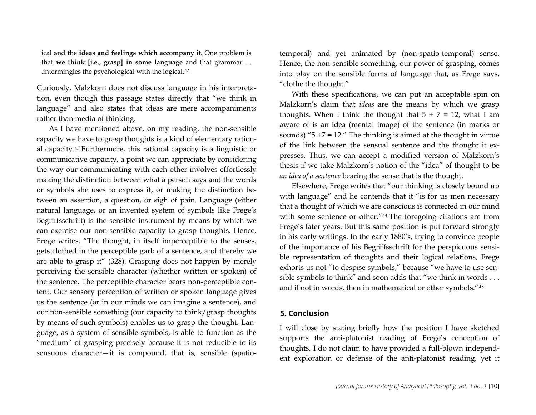ical and the **ideas and feelings which accompany** it. One problem is that **we think [i.e., grasp] in some language** and that grammar . . .intermingles the psychological with the logical.[42](#page-16-18)

Curiously, Malzkorn does not discuss language in his interpretation, even though this passage states directly that "we think in language" and also states that ideas are mere accompaniments rather than media of thinking.

As I have mentioned above, on my reading, the non-sensible capacity we have to grasp thoughts is a kind of elementary rational capacity[.43](#page-16-19) Furthermore, this rational capacity is a linguistic or communicative capacity, a point we can appreciate by considering the way our communicating with each other involves effortlessly making the distinction between what a person says and the words or symbols she uses to express it, or making the distinction between an assertion, a question, or sigh of pain. Language (either natural language, or an invented system of symbols like Frege's Begriffsschrift) is the sensible instrument by means by which we can exercise our non-sensible capacity to grasp thoughts. Hence, Frege writes, "The thought, in itself imperceptible to the senses, gets clothed in the perceptible garb of a sentence, and thereby we are able to grasp it" (328). Grasping does not happen by merely perceiving the sensible character (whether written or spoken) of the sentence. The perceptible character bears non-perceptible content. Our sensory perception of written or spoken language gives us the sentence (or in our minds we can imagine a sentence), and our non-sensible something (our capacity to think/grasp thoughts by means of such symbols) enables us to grasp the thought. Language, as a system of sensible symbols, is able to function as the "medium" of grasping precisely because it is not reducible to its sensuous character—it is compound, that is, sensible (spatiotemporal) and yet animated by (non-spatio-temporal) sense. Hence, the non-sensible something, our power of grasping, comes into play on the sensible forms of language that, as Frege says, "clothe the thought."

With these specifications, we can put an acceptable spin on Malzkorn's claim that *ideas* are the means by which we grasp thoughts. When I think the thought that  $5 + 7 = 12$ , what I am aware of is an idea (mental image) of the sentence (in marks or sounds) " $5 + 7 = 12$ ." The thinking is aimed at the thought in virtue of the link between the sensual sentence and the thought it expresses. Thus, we can accept a modified version of Malzkorn's thesis if we take Malzkorn's notion of the "idea" of thought to be *an idea of a sentence* bearing the sense that is the thought.

Elsewhere, Frege writes that "our thinking is closely bound up with language" and he contends that it "is for us men necessary that a thought of which we are conscious is connected in our mind with some sentence or other."[44](#page-16-20) The foregoing citations are from Frege's later years. But this same position is put forward strongly in his early writings. In the early 1880's, trying to convince people of the importance of his Begriffsschrift for the perspicuous sensible representation of thoughts and their logical relations, Frege exhorts us not "to despise symbols," because "we have to use sensible symbols to think" and soon adds that "we think in words . . . and if not in words, then in mathematical or other symbols."[45](#page-16-1)

#### **5. Conclusion**

I will close by stating briefly how the position I have sketched supports the anti-platonist reading of Frege's conception of thoughts. I do not claim to have provided a full-blown independent exploration or defense of the anti-platonist reading, yet it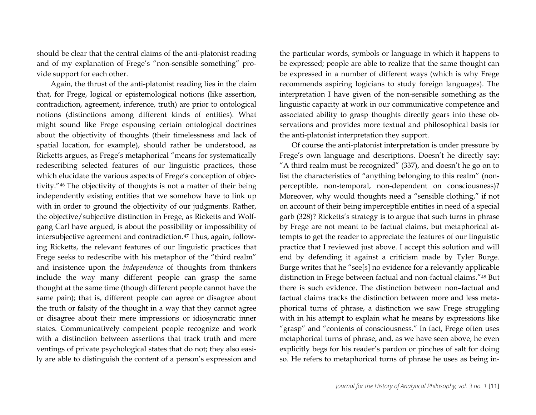should be clear that the central claims of the anti-platonist reading and of my explanation of Frege's "non-sensible something" provide support for each other.

Again, the thrust of the anti-platonist reading lies in the claim that, for Frege, logical or epistemological notions (like assertion, contradiction, agreement, inference, truth) are prior to ontological notions (distinctions among different kinds of entities). What might sound like Frege espousing certain ontological doctrines about the objectivity of thoughts (their timelessness and lack of spatial location, for example), should rather be understood, as Ricketts argues, as Frege's metaphorical "means for systematically redescribing selected features of our linguistic practices, those which elucidate the various aspects of Frege's conception of objectivity."[46](#page-16-21) The objectivity of thoughts is not a matter of their being independently existing entities that we somehow have to link up with in order to ground the objectivity of our judgments. Rather, the objective/subjective distinction in Frege, as Ricketts and Wolfgang Carl have argued, is about the possibility or impossibility of intersubjective agreement and contradiction.<sup>[47](#page-16-22)</sup> Thus, again, following Ricketts, the relevant features of our linguistic practices that Frege seeks to redescribe with his metaphor of the "third realm" and insistence upon the *independence* of thoughts from thinkers include the way many different people can grasp the same thought at the same time (though different people cannot have the same pain); that is, different people can agree or disagree about the truth or falsity of the thought in a way that they cannot agree or disagree about their mere impressions or idiosyncratic inner states. Communicatively competent people recognize and work with a distinction between assertions that track truth and mere ventings of private psychological states that do not; they also easily are able to distinguish the content of a person's expression and

the particular words, symbols or language in which it happens to be expressed; people are able to realize that the same thought can be expressed in a number of different ways (which is why Frege recommends aspiring logicians to study foreign languages). The interpretation I have given of the non-sensible something as the linguistic capacity at work in our communicative competence and associated ability to grasp thoughts directly gears into these observations and provides more textual and philosophical basis for the anti-platonist interpretation they support.

Of course the anti-platonist interpretation is under pressure by Frege's own language and descriptions. Doesn't he directly say: "A third realm must be recognized" (337), and doesn't he go on to list the characteristics of "anything belonging to this realm" (nonperceptible, non-temporal, non-dependent on consciousness)? Moreover, why would thoughts need a "sensible clothing," if not on account of their being imperceptible entities in need of a special garb (328)? Ricketts's strategy is to argue that such turns in phrase by Frege are not meant to be factual claims, but metaphorical attempts to get the reader to appreciate the features of our linguistic practice that I reviewed just above. I accept this solution and will end by defending it against a criticism made by Tyler Burge. Burge writes that he "see[s] no evidence for a relevantly applicable distinction in Frege between factual and non-factual claims."[48](#page-16-23) But there is such evidence. The distinction between non–factual and factual claims tracks the distinction between more and less metaphorical turns of phrase, a distinction we saw Frege struggling with in his attempt to explain what he means by expressions like "grasp" and "contents of consciousness." In fact, Frege often uses metaphorical turns of phrase, and, as we have seen above, he even explicitly begs for his reader's pardon or pinches of salt for doing so. He refers to metaphorical turns of phrase he uses as being in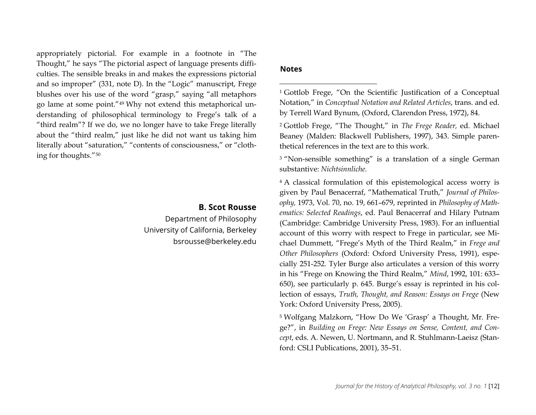<span id="page-12-2"></span><span id="page-12-1"></span><span id="page-12-0"></span>appropriately pictorial. For example in a footnote in "The Thought," he says "The pictorial aspect of language presents difficulties. The sensible breaks in and makes the expressions pictorial and so improper" (331, note D). In the "Logic" manuscript, Frege blushes over his use of the word "grasp," saying "all metaphors go lame at some point."[49](#page-16-24) Why not extend this metaphorical understanding of philosophical terminology to Frege's talk of a "third realm"? If we do, we no longer have to take Frege literally about the "third realm," just like he did not want us taking him literally about "saturation," "contents of consciousness," or "clothing for thoughts."[50](#page-16-25)

## **B. Scot Rousse**

Department of Philosophy University of California, Berkeley [bsrousse@berkeley.edu](mailto:bsrousse@berkeley.edu)

## <span id="page-12-3"></span>**Notes**

 $\overline{\phantom{a}}$ 

<sup>1</sup> Gottlob Frege, "On the Scientific Justification of a Conceptual Notation," in *Conceptual Notation and Related Articles*, trans. and ed. by Terrell Ward Bynum, (Oxford, Clarendon Press, 1972), 84.

<sup>2</sup> Gottlob Frege, "The Thought," in *The Frege Reader,* ed. Michael Beaney (Malden: Blackwell Publishers, 1997), 343. Simple parenthetical references in the text are to this work.

<sup>3</sup> "Non-sensible something" is a translation of a single German substantive: *Nichtsinnliche.*

<sup>4</sup> A classical formulation of this epistemological access worry is given by Paul Benacerraf, "Mathematical Truth," *Journal of Philosophy,* 1973, Vol. 70, no. 19, 661–679, reprinted in *Philosophy of Mathematics: Selected Readings*, ed. Paul Benacerraf and Hilary Putnam (Cambridge: Cambridge University Press, 1983). For an influential account of this worry with respect to Frege in particular, see Michael Dummett, "Frege's Myth of the Third Realm," in *Frege and Other Philosophers* (Oxford: Oxford University Press, 1991), especially 251-252. Tyler Burge also articulates a version of this worry in his "Frege on Knowing the Third Realm," *Mind*, 1992, 101: 633– 650), see particularly p. 645. Burge's essay is reprinted in his collection of essays, *Truth, Thought, and Reason: Essays on Frege* (New York: Oxford University Press, 2005).

<sup>5</sup> Wolfgang Malzkorn, "How Do We 'Grasp' a Thought, Mr. Frege?", in *Building on Frege: New Essays on Sense, Content, and Concept*, eds. A. Newen, U. Nortmann, and R. Stuhlmann-Laeisz (Stanford: CSLI Publications, 2001), 35–51.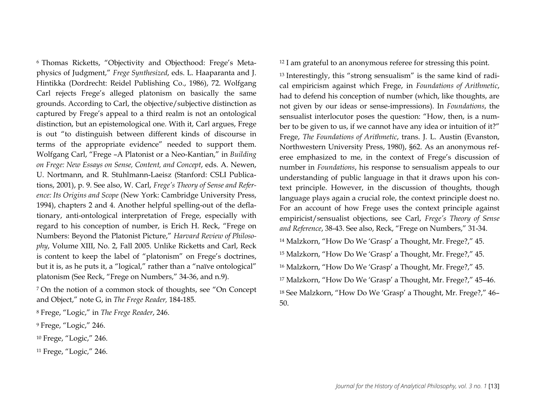<span id="page-13-1"></span><sup>6</sup> Thomas Ricketts, "Objectivity and Objecthood: Frege's Metaphysics of Judgment," *Frege Synthesized*, eds. L. Haaparanta and J. Hintikka (Dordrecht: Reidel Publishing Co., 1986), 72. Wolfgang Carl rejects Frege's alleged platonism on basically the same grounds. According to Carl, the objective/subjective distinction as captured by Frege's appeal to a third realm is not an ontological distinction, but an epistemological one. With it, Carl argues, Frege is out "to distinguish between different kinds of discourse in terms of the appropriate evidence" needed to support them. Wolfgang Carl, "Frege –A Platonist or a Neo-Kantian," in *Building on Frege: New Essays on Sense, Content, and Concept*, eds. A. Newen, U. Nortmann, and R. Stuhlmann-Laeisz (Stanford: CSLI Publications, 2001), p. 9. See also, W. Carl, *Frege's Theory of Sense and Reference: Its Origins and Scope* (New York: Cambridge University Press, 1994), chapters 2 and 4. Another helpful spelling-out of the deflationary, anti-ontological interpretation of Frege, especially with regard to his conception of number, is Erich H. Reck, "Frege on Numbers: Beyond the Platonist Picture," *Harvard Review of Philosophy*, Volume XIII, No. 2, Fall 2005. Unlike Ricketts and Carl, Reck is content to keep the label of "platonism" on Frege's doctrines, but it is, as he puts it, a "logical," rather than a "naïve ontological" platonism (See Reck, "Frege on Numbers," 34-36, and n.9).

<sup>7</sup> On the notion of a common stock of thoughts, see "On Concept and Object," note G, in *The Frege Reader,* 184-185.

<sup>8</sup> Frege, "Logic," in *The Frege Reader*, 246.

<sup>9</sup> Frege, "Logic," 246.

<sup>10</sup> Frege, "Logic," 246.

<sup>11</sup> Frege, "Logic," 246.

<span id="page-13-3"></span><span id="page-13-2"></span><span id="page-13-0"></span><sup>12</sup> I am grateful to an anonymous referee for stressing this point.

<sup>13</sup> Interestingly, this "strong sensualism" is the same kind of radical empiricism against which Frege, in *Foundations of Arithmetic*, had to defend his conception of number (which, like thoughts, are not given by our ideas or sense-impressions). In *Foundations*, the sensualist interlocutor poses the question: "How, then, is a number to be given to us, if we cannot have any idea or intuition of it?" Frege, *The Foundations of Arithmetic*, trans. J. L. Austin (Evanston, Northwestern University Press, 1980), §62. As an anonymous referee emphasized to me, in the context of Frege's discussion of number in *Foundations*, his response to sensualism appeals to our understanding of public language in that it draws upon his context principle. However, in the discussion of thoughts, though language plays again a crucial role, the context principle doest no. For an account of how Frege uses the context principle against empiricist/sensualist objections, see Carl, *Frege's Theory of Sense and Reference*, 38-43. See also, Reck, "Frege on Numbers," 31-34.

 Malzkorn, "How Do We 'Grasp' a Thought, Mr. Frege?," 45. Malzkorn, "How Do We 'Grasp' a Thought, Mr. Frege?," 45. Malzkorn, "How Do We 'Grasp' a Thought, Mr. Frege?," 45. Malzkorn, "How Do We 'Grasp' a Thought, Mr. Frege?," 45–46. See Malzkorn, "How Do We 'Grasp' a Thought, Mr. Frege?," 46– 50.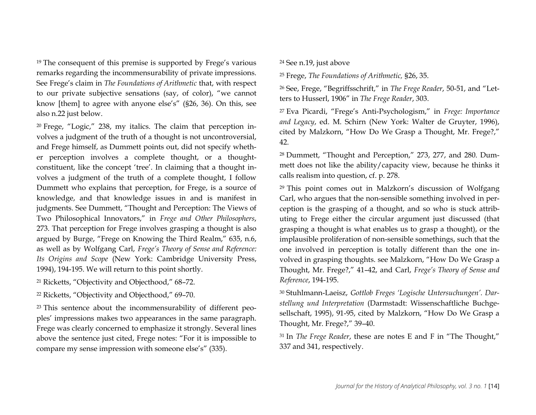<sup>19</sup> The consequent of this premise is supported by Frege's various remarks regarding the incommensurability of private impressions. See Frege's claim in *The Foundations of Arithmetic* that, with respect to our private subjective sensations (say, of color), "we cannot know [them] to agree with anyone else's" (§26, 36). On this, see also n.22 just below.

<sup>20</sup> Frege, "Logic," 238, my italics. The claim that perception involves a judgment of the truth of a thought is not uncontroversial, and Frege himself, as Dummett points out, did not specify whether perception involves a complete thought, or a thoughtconstituent, like the concept 'tree'. In claiming that a thought involves a judgment of the truth of a complete thought, I follow Dummett who explains that perception, for Frege, is a source of knowledge, and that knowledge issues in and is manifest in judgments. See Dummett, "Thought and Perception: The Views of Two Philosophical Innovators," in *Frege and Other Philosophers*, 273. That perception for Frege involves grasping a thought is also argued by Burge, "Frege on Knowing the Third Realm," 635, n.6, as well as by Wolfgang Carl, *Frege's Theory of Sense and Reference: Its Origins and Scope* (New York: Cambridge University Press, 1994), 194-195. We will return to this point shortly.

<sup>21</sup> Ricketts, "Objectivity and Objecthood," 68–72.

<sup>22</sup> Ricketts, "Objectivity and Objecthood," 69–70.

<sup>23</sup> This sentence about the incommensurability of different peoples' impressions makes two appearances in the same paragraph. Frege was clearly concerned to emphasize it strongly. Several lines above the sentence just cited, Frege notes: "For it is impossible to compare my sense impression with someone else's" (335).

<span id="page-14-2"></span><span id="page-14-1"></span><span id="page-14-0"></span><sup>24</sup> See n.19, just above

<sup>25</sup> Frege, *The Foundations of Arithmetic,* §26, 35.

<sup>26</sup> See, Frege, "Begriffsschrift," in *The Frege Reader*, 50-51, and "Letters to Husserl, 1906" in *The Frege Reader*, 303.

<sup>27</sup> Eva Picardi, "Frege's Anti-Psychologism," in *Frege: Importance and Legacy*, ed. M. Schirn (New York: Walter de Gruyter, 1996), cited by Malzkorn, "How Do We Grasp a Thought, Mr. Frege?," 42.

<sup>28</sup> Dummett, "Thought and Perception," 273, 277, and 280. Dummett does not like the ability/capacity view, because he thinks it calls realism into question, cf. p. 278.

<sup>29</sup> This point comes out in Malzkorn's discussion of Wolfgang Carl, who argues that the non-sensible something involved in perception is the grasping of a thought, and so who is stuck attributing to Frege either the circular argument just discussed (that grasping a thought is what enables us to grasp a thought), or the implausible proliferation of non-sensible somethings, such that the one involved in perception is totally different than the one involved in grasping thoughts. see Malzkorn, "How Do We Grasp a Thought, Mr. Frege?," 41–42, and Carl, *Frege's Theory of Sense and Reference*, 194-195.

<sup>30</sup> Stuhlmann-Laeisz, *Gottlob Freges 'Logische Untersuchungen'. Darstellung und Interpretation* (Darmstadt: Wissenschaftliche Buchgesellschaft, 1995), 91-95, cited by Malzkorn, "How Do We Grasp a Thought, Mr. Frege?," 39–40.

<sup>31</sup> In *The Frege Reader*, these are notes E and F in "The Thought," 337 and 341, respectively.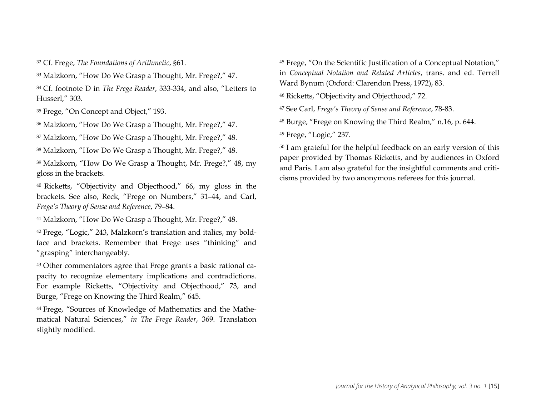<span id="page-15-1"></span><span id="page-15-0"></span><sup>32</sup> Cf. Frege, *The Foundations of Arithmetic*, §61.

<sup>33</sup> Malzkorn, "How Do We Grasp a Thought, Mr. Frege?," 47.

<sup>34</sup> Cf. footnote D in *The Frege Reader*, 333-334, and also, "Letters to Husserl," 303.

<sup>35</sup> Frege, "On Concept and Object," 193.

<sup>36</sup> Malzkorn, "How Do We Grasp a Thought, Mr. Frege?," 47.

<sup>37</sup> Malzkorn, "How Do We Grasp a Thought, Mr. Frege?," 48.

<sup>38</sup> Malzkorn, "How Do We Grasp a Thought, Mr. Frege?," 48.

<sup>39</sup> Malzkorn, "How Do We Grasp a Thought, Mr. Frege?," 48, my gloss in the brackets.

<sup>40</sup> Ricketts, "Objectivity and Objecthood," 66, my gloss in the brackets. See also, Reck, "Frege on Numbers," 31–44, and Carl, *Frege's Theory of Sense and Reference*, 79–84.

<sup>41</sup> Malzkorn, "How Do We Grasp a Thought, Mr. Frege?," 48.

<sup>42</sup> Frege, "Logic," 243, Malzkorn's translation and italics, my boldface and brackets. Remember that Frege uses "thinking" and "grasping" interchangeably.

<sup>43</sup> Other commentators agree that Frege grants a basic rational capacity to recognize elementary implications and contradictions. For example Ricketts, "Objectivity and Objecthood," 73, and Burge, "Frege on Knowing the Third Realm," 645.

<sup>44</sup> Frege, "Sources of Knowledge of Mathematics and the Mathematical Natural Sciences," *in The Frege Reader*, 369. Translation slightly modified.

<span id="page-15-5"></span><span id="page-15-4"></span><span id="page-15-3"></span><span id="page-15-2"></span><sup>45</sup> Frege, "On the Scientific Justification of a Conceptual Notation," in *Conceptual Notation and Related Articles*, trans. and ed. Terrell Ward Bynum (Oxford: Clarendon Press, 1972), 83.

<sup>46</sup> Ricketts, "Objectivity and Objecthood," 72.

<sup>47</sup> See Carl, *Frege's Theory of Sense and Reference*, 78-83.

<sup>48</sup> Burge, "Frege on Knowing the Third Realm," n.16, p. 644.

<sup>49</sup> Frege, "Logic," 237.

<sup>50</sup> I am grateful for the helpful feedback on an early version of this paper provided by Thomas Ricketts, and by audiences in Oxford and Paris. I am also grateful for the insightful comments and criticisms provided by two anonymous referees for this journal.